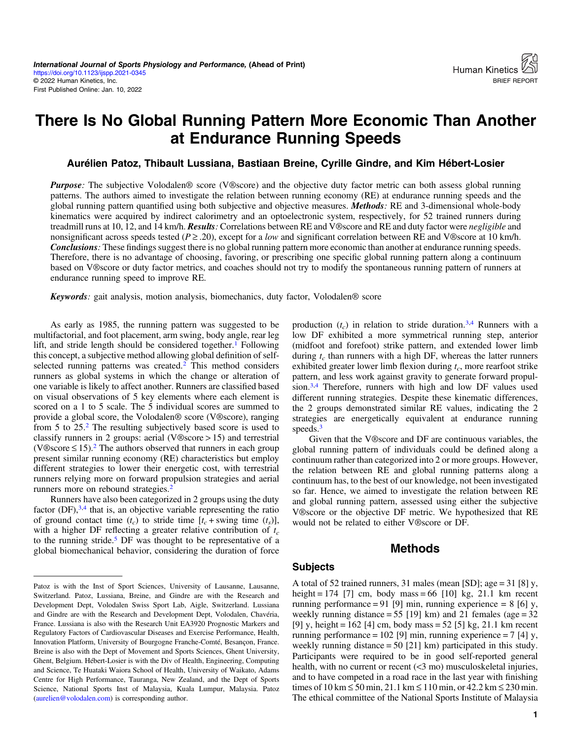# There Is No Global Running Pattern More Economic Than Another at Endurance Running Speeds

#### Aurélien Patoz, Thibault Lussiana, Bastiaan Breine, Cyrille Gindre, and Kim Hébert-Losier

**Purpose:** The subjective Volodalen<sup>®</sup> score (V®score) and the objective duty factor metric can both assess global running patterns. The authors aimed to investigate the relation between running economy (RE) at endurance running speeds and the global running pattern quantified using both subjective and objective measures. Methods: RE and 3-dimensional whole-body kinematics were acquired by indirect calorimetry and an optoelectronic system, respectively, for 52 trained runners during treadmill runs at 10, 12, and 14 km/h. **Results**: Correlations between RE and V®score and RE and duty factor were *negligible* and nonsignificant across speeds tested ( $P \ge 0.20$ ), except for a low and significant correlation between RE and V®score at 10 km/h. Conclusions: These findings suggest there is no global running pattern more economic than another at endurance running speeds. Therefore, there is no advantage of choosing, favoring, or prescribing one specific global running pattern along a continuum based on V®score or duty factor metrics, and coaches should not try to modify the spontaneous running pattern of runners at endurance running speed to improve RE.

Keywords: gait analysis, motion analysis, biomechanics, duty factor, Volodalen® score

As early as 1985, the running pattern was suggested to be multifactorial, and foot placement, arm swing, body angle, rear leg lift, and stride length should be considered together.<sup>[1](#page-2-0)</sup> Following this concept, a subjective method allowing global definition of self-selected running patterns was created.<sup>[2](#page-2-0)</sup> This method considers runners as global systems in which the change or alteration of one variable is likely to affect another. Runners are classified based on visual observations of 5 key elements where each element is scored on a 1 to 5 scale. The 5 individual scores are summed to provide a global score, the Volodalen® score (V®score), ranging from 5 to 25.[2](#page-2-0) The resulting subjectively based score is used to classify runners in 2 groups: aerial (V®score > 15) and terrestrial (V®score  $\leq 15$ ).<sup>[2](#page-2-0)</sup> The authors observed that runners in each group present similar running economy (RE) characteristics but employ different strategies to lower their energetic cost, with terrestrial runners relying more on forward propulsion strategies and aerial runners more on rebound strategies.<sup>[2](#page-2-0)</sup>

Runners have also been categorized in 2 groups using the duty factor  $(DF)$ ,  $3,4$  that is, an objective variable representing the ratio of ground contact time  $(t_c)$  to stride time  $[t_c + \text{swing time } (t_s)],$ with a higher DF reflecting a greater relative contribution of  $t_c$ to the running stride[.5](#page-2-0) DF was thought to be representative of a global biomechanical behavior, considering the duration of force production  $(t_c)$  in relation to stride duration.<sup>3,[4](#page-2-0)</sup> Runners with a low DF exhibited a more symmetrical running step, anterior (midfoot and forefoot) strike pattern, and extended lower limb during  $t_c$  than runners with a high DF, whereas the latter runners exhibited greater lower limb flexion during  $t_c$ , more rearfoot strike pattern, and less work against gravity to generate forward propulsion[.3,4](#page-2-0) Therefore, runners with high and low DF values used different running strategies. Despite these kinematic differences, the 2 groups demonstrated similar RE values, indicating the 2 strategies are energetically equivalent at endurance running speeds.<sup>[3](#page-2-0)</sup>

Given that the V®score and DF are continuous variables, the global running pattern of individuals could be defined along a continuum rather than categorized into 2 or more groups. However, the relation between RE and global running patterns along a continuum has, to the best of our knowledge, not been investigated so far. Hence, we aimed to investigate the relation between RE and global running pattern, assessed using either the subjective V®score or the objective DF metric. We hypothesized that RE would not be related to either V®score or DF.

## Methods

#### Subjects

A total of 52 trained runners, 31 males (mean [SD]; age = 31 [8] y, height = 174 [7] cm, body mass = 66 [10] kg, 21.1 km recent running performance = 91 [9] min, running experience = 8 [6] y, weekly running distance =  $55$  [19] km) and 21 females (age =  $32$ [9] y, height =  $162$  [4] cm, body mass =  $52$  [5] kg,  $21.1$  km recent running performance =  $102$  [9] min, running experience =  $7$  [4] y, weekly running distance = 50 [21] km) participated in this study. Participants were required to be in good self-reported general health, with no current or recent (<3 mo) musculoskeletal injuries, and to have competed in a road race in the last year with finishing times of 10 km ≤ 50 min, 21.1 km ≤ 110 min, or 42.2 km ≤ 230 min. The ethical committee of the National Sports Institute of Malaysia

Patoz is with the Inst of Sport Sciences, University of Lausanne, Lausanne, Switzerland. Patoz, Lussiana, Breine, and Gindre are with the Research and Development Dept, Volodalen Swiss Sport Lab, Aigle, Switzerland. Lussiana and Gindre are with the Research and Development Dept, Volodalen, Chavéria, France. Lussiana is also with the Research Unit EA3920 Prognostic Markers and Regulatory Factors of Cardiovascular Diseases and Exercise Performance, Health, Innovation Platform, University of Bourgogne Franche-Comté, Besançon, France. Breine is also with the Dept of Movement and Sports Sciences, Ghent University, Ghent, Belgium. Hébert-Losier is with the Div of Health, Engineering, Computing and Science, Te Huataki Waiora School of Health, University of Waikato, Adams Centre for High Performance, Tauranga, New Zealand, and the Dept of Sports Science, National Sports Inst of Malaysia, Kuala Lumpur, Malaysia. Patoz ([aurelien@volodalen.com](mailto:aurelien@volodalen.com)) is corresponding author.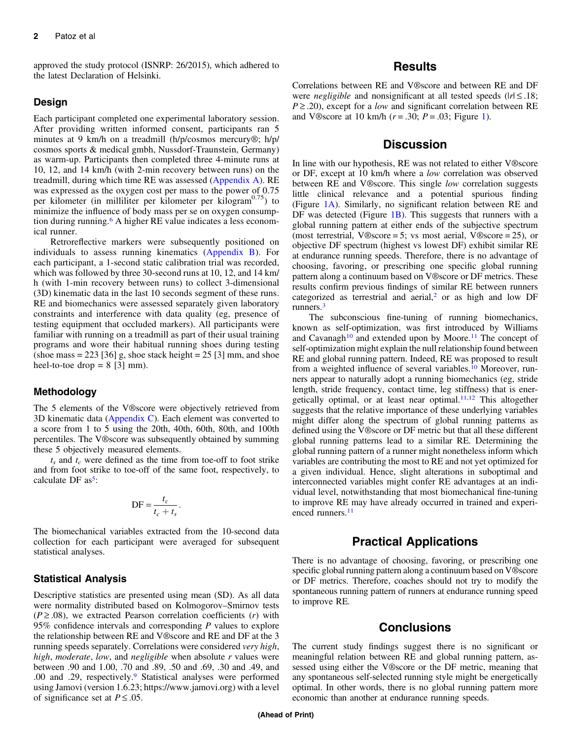approved the study protocol (ISNRP: 26/2015), which adhered to the latest Declaration of Helsinki.

#### Design

Each participant completed one experimental laboratory session. After providing written informed consent, participants ran 5 minutes at 9 km/h on a treadmill (h/p/cosmos mercury®; h/p/ cosmos sports & medical gmbh, Nussdorf-Traunstein, Germany) as warm-up. Participants then completed three 4-minute runs at 10, 12, and 14 km/h (with 2-min recovery between runs) on the treadmill, during which time RE was assessed ([Appendix A\)](#page-3-0). RE was expressed as the oxygen cost per mass to the power of 0.75 per kilometer (in milliliter per kilometer per kilogram $^{0.75}$ ) to minimize the influence of body mass per se on oxygen consumption during running[.6](#page-2-0) A higher RE value indicates a less economical runner.

Retroreflective markers were subsequently positioned on individuals to assess running kinematics ([Appendix B](#page-3-0)). For each participant, a 1-second static calibration trial was recorded, which was followed by three 30-second runs at 10, 12, and 14 km/ h (with 1-min recovery between runs) to collect 3-dimensional (3D) kinematic data in the last 10 seconds segment of these runs. RE and biomechanics were assessed separately given laboratory constraints and interference with data quality (eg, presence of testing equipment that occluded markers). All participants were familiar with running on a treadmill as part of their usual training programs and wore their habitual running shoes during testing (shoe mass  $= 223$  [36] g, shoe stack height  $= 25$  [3] mm, and shoe heel-to-toe drop  $= 8$  [3] mm).

#### **Methodology**

The 5 elements of the V®score were objectively retrieved from 3D kinematic data ( $\Delta$ ppendix C). Each element was converted to a score from 1 to 5 using the 20th, 40th, 60th, 80th, and 100th percentiles. The V®score was subsequently obtained by summing these 5 objectively measured elements.

 $t_s$  and  $t_c$  were defined as the time from toe-off to foot strike and from foot strike to toe-off of the same foot, respectively, to calculate DF  $as^5$  $as^5$ :

$$
\mathbf{DF} = \frac{t_c}{t_c + t_s}.
$$

The biomechanical variables extracted from the 10-second data collection for each participant were averaged for subsequent statistical analyses.

#### Statistical Analysis

Descriptive statistics are presented using mean (SD). As all data were normality distributed based on Kolmogorov–Smirnov tests  $(P \ge 0.08)$ , we extracted Pearson correlation coefficients (r) with 95% confidence intervals and corresponding P values to explore the relationship between RE and V®score and RE and DF at the 3 running speeds separately. Correlations were considered very high, high, moderate, low, and negligible when absolute  $r$  values were between .90 and 1.00, .70 and .89, .50 and .69, .30 and .49, and .00 and .29, respectively.[9](#page-2-0) Statistical analyses were performed using Jamovi (version 1.6.23; https://www.jamovi.org) with a level of significance set at  $P \leq .05$ .

### **Results**

Correlations between RE and V®score and between RE and DF were *negligible* and nonsignificant at all tested speeds ( $|r| \leq .18$ ;  $P \geq 0.20$ , except for a *low* and significant correlation between RE and V®score at [1](#page-2-0)0 km/h ( $r = .30$ ;  $P = .03$ ; Figure 1).

## **Discussion**

In line with our hypothesis, RE was not related to either V®score or DF, except at 10 km/h where a low correlation was observed between RE and V®score. This single low correlation suggests little clinical relevance and a potential spurious finding (Figure [1A\)](#page-2-0). Similarly, no significant relation between RE and DF was detected (Figure [1B\)](#page-2-0). This suggests that runners with a global running pattern at either ends of the subjective spectrum (most terrestrial, V®score = 5; vs most aerial, V®score = 25), or objective DF spectrum (highest vs lowest DF) exhibit similar RE at endurance running speeds. Therefore, there is no advantage of choosing, favoring, or prescribing one specific global running pattern along a continuum based on V®score or DF metrics. These results confirm previous findings of similar RE between runners categorized as terrestrial and aerial,<sup>2</sup> or as high and low DF runners[.3](#page-2-0)

The subconscious fine-tuning of running biomechanics, known as self-optimization, was first introduced by Williams and Cavanagh<sup>[10](#page-2-0)</sup> and extended upon by Moore.<sup>11</sup> The concept of self-optimization might explain the null relationship found between RE and global running pattern. Indeed, RE was proposed to result from a weighted influence of several variables.<sup>[10](#page-2-0)</sup> Moreover, runners appear to naturally adopt a running biomechanics (eg, stride length, stride frequency, contact time, leg stiffness) that is energetically optimal, or at least near optimal. $11,12$  $11,12$  This altogether suggests that the relative importance of these underlying variables might differ along the spectrum of global running patterns as defined using the V®score or DF metric but that all these different global running patterns lead to a similar RE. Determining the global running pattern of a runner might nonetheless inform which variables are contributing the most to RE and not yet optimized for a given individual. Hence, slight alterations in suboptimal and interconnected variables might confer RE advantages at an individual level, notwithstanding that most biomechanical fine-tuning to improve RE may have already occurred in trained and experi-enced runners.<sup>[11](#page-2-0)</sup>

## Practical Applications

There is no advantage of choosing, favoring, or prescribing one specific global running pattern along a continuum based on V®score or DF metrics. Therefore, coaches should not try to modify the spontaneous running pattern of runners at endurance running speed to improve RE.

## **Conclusions**

The current study findings suggest there is no significant or meaningful relation between RE and global running pattern, assessed using either the V®score or the DF metric, meaning that any spontaneous self-selected running style might be energetically optimal. In other words, there is no global running pattern more economic than another at endurance running speeds.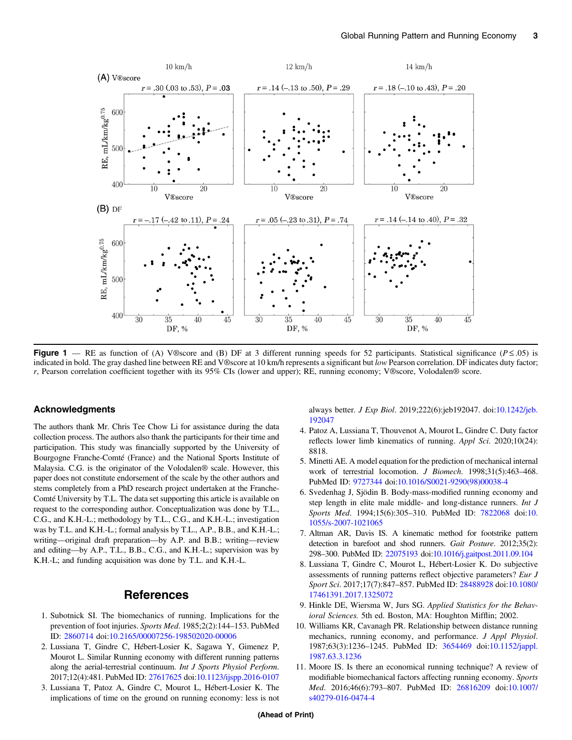<span id="page-2-0"></span>

Figure 1 — RE as function of (A) V®score and (B) DF at 3 different running speeds for 52 participants. Statistical significance ( $P \le 0.05$ ) is indicated in bold. The gray dashed line between RE and V®score at 10 km/h represents a significant but low Pearson correlation. DF indicates duty factor; r, Pearson correlation coefficient together with its 95% CIs (lower and upper); RE, running economy; V®score, Volodalen® score.

#### Acknowledgments

The authors thank Mr. Chris Tee Chow Li for assistance during the data collection process. The authors also thank the participants for their time and participation. This study was financially supported by the University of Bourgogne Franche-Comté (France) and the National Sports Institute of Malaysia. C.G. is the originator of the Volodalen® scale. However, this paper does not constitute endorsement of the scale by the other authors and stems completely from a PhD research project undertaken at the Franche-Comté University by T.L. The data set supporting this article is available on request to the corresponding author. Conceptualization was done by T.L., C.G., and K.H.-L.; methodology by T.L., C.G., and K.H.-L.; investigation was by T.L. and K.H.-L.; formal analysis by T.L., A.P., B.B., and K.H.-L.; writing—original draft preparation—by A.P. and B.B.; writing—review and editing—by A.P., T.L., B.B., C.G., and K.H.-L.; supervision was by K.H.-L; and funding acquisition was done by T.L. and K.H.-L.

#### References

- 1. Subotnick SI. The biomechanics of running. Implications for the prevention of foot injuries. Sports Med. 1985;2(2):144–153. PubMed ID: [2860714](http://www.ncbi.nlm.nih.gov/pubmed/2860714?dopt=Abstract) doi:[10.2165/00007256-198502020-00006](https://doi.org/10.2165/00007256-198502020-00006)
- 2. Lussiana T, Gindre C, Hébert-Losier K, Sagawa Y, Gimenez P, Mourot L. Similar Running economy with different running patterns along the aerial-terrestrial continuum. Int J Sports Physiol Perform. 2017;12(4):481. PubMed ID: [27617625](http://www.ncbi.nlm.nih.gov/pubmed/27617625?dopt=Abstract) doi:[10.1123/ijspp.2016-0107](https://doi.org/10.1123/ijspp.2016-0107)
- 3. Lussiana T, Patoz A, Gindre C, Mourot L, Hébert-Losier K. The implications of time on the ground on running economy: less is not

always better. J Exp Biol. 2019;222(6):jeb192047. doi[:10.1242/jeb.](https://doi.org/10.1242/jeb.192047) [192047](https://doi.org/10.1242/jeb.192047)

- 4. Patoz A, Lussiana T, Thouvenot A, Mourot L, Gindre C. Duty factor reflects lower limb kinematics of running. Appl Sci. 2020;10(24): 8818.
- 5. Minetti AE. A model equation for the prediction of mechanical internal work of terrestrial locomotion. J Biomech. 1998;31(5):463–468. PubMed ID: [9727344](http://www.ncbi.nlm.nih.gov/pubmed/9727344?dopt=Abstract) doi:[10.1016/S0021-9290\(98\)00038-4](https://doi.org/10.1016/S0021-9290(98)00038-4)
- 6. Svedenhag J, Sjödin B. Body-mass-modified running economy and step length in elite male middle- and long-distance runners. Int J Sports Med. 1994;15(6):305–310. PubMed ID: [7822068](http://www.ncbi.nlm.nih.gov/pubmed/7822068?dopt=Abstract) doi:[10.](https://doi.org/10.1055/s-2007-1021065) [1055/s-2007-1021065](https://doi.org/10.1055/s-2007-1021065)
- 7. Altman AR, Davis IS. A kinematic method for footstrike pattern detection in barefoot and shod runners. Gait Posture. 2012;35(2): 298–300. PubMed ID: [22075193](http://www.ncbi.nlm.nih.gov/pubmed/22075193?dopt=Abstract) doi:[10.1016/j.gaitpost.2011.09.104](https://doi.org/10.1016/j.gaitpost.2011.09.104)
- 8. Lussiana T, Gindre C, Mourot L, Hébert-Losier K. Do subjective assessments of running patterns reflect objective parameters? Eur J Sport Sci. 2017;17(7):847–857. PubMed ID: [28488928](http://www.ncbi.nlm.nih.gov/pubmed/28488928?dopt=Abstract) doi[:10.1080/](https://doi.org/10.1080/17461391.2017.1325072) [17461391.2017.1325072](https://doi.org/10.1080/17461391.2017.1325072)
- 9. Hinkle DE, Wiersma W, Jurs SG. Applied Statistics for the Behavioral Sciences. 5th ed. Boston, MA: Houghton Mifflin; 2002.
- 10. Williams KR, Cavanagh PR. Relationship between distance running mechanics, running economy, and performance. J Appl Physiol. 1987;63(3):1236–1245. PubMed ID: [3654469](http://www.ncbi.nlm.nih.gov/pubmed/3654469?dopt=Abstract) doi[:10.1152/jappl.](https://doi.org/10.1152/jappl.1987.63.3.1236) [1987.63.3.1236](https://doi.org/10.1152/jappl.1987.63.3.1236)
- 11. Moore IS. Is there an economical running technique? A review of modifiable biomechanical factors affecting running economy. Sports Med. 2016;46(6):793–807. PubMed ID: [26816209](http://www.ncbi.nlm.nih.gov/pubmed/26816209?dopt=Abstract) doi[:10.1007/](https://doi.org/10.1007/s40279-016-0474-4) [s40279-016-0474-4](https://doi.org/10.1007/s40279-016-0474-4)